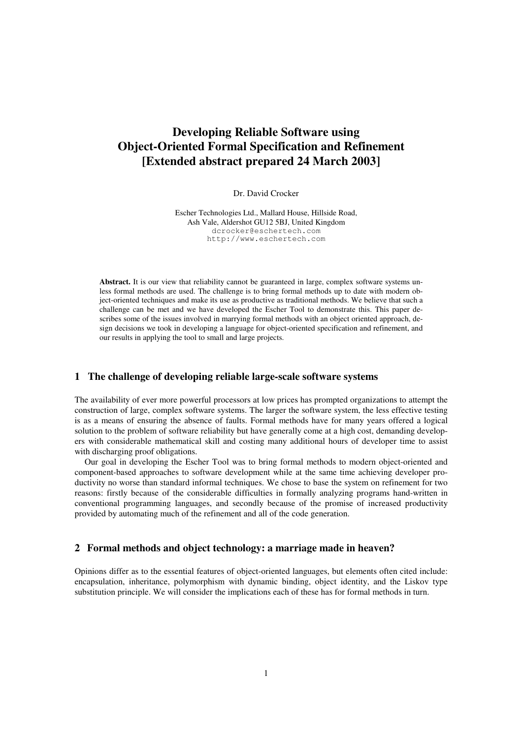# **Developing Reliable Software using Object-Oriented Formal Specification and Refinement [Extended abstract prepared 24 March 2003]**

### Dr. David Crocker

Escher Technologies Ltd., Mallard House, Hillside Road, Ash Vale, Aldershot GU12 5BJ, United Kingdom dcrocker@eschertech.com http://www.eschertech.com

Abstract. It is our view that reliability cannot be guaranteed in large, complex software systems unless formal methods are used. The challenge is to bring formal methods up to date with modern object-oriented techniques and make its use as productive as traditional methods. We believe that such a challenge can be met and we have developed the Escher Tool to demonstrate this. This paper describes some of the issues involved in marrying formal methods with an object oriented approach, design decisions we took in developing a language for object-oriented specification and refinement, and our results in applying the tool to small and large projects.

### **1 The challenge of developing reliable large-scale software systems**

The availability of ever more powerful processors at low prices has prompted organizations to attempt the construction of large, complex software systems. The larger the software system, the less effective testing is as a means of ensuring the absence of faults. Formal methods have for many years offered a logical solution to the problem of software reliability but have generally come at a high cost, demanding developers with considerable mathematical skill and costing many additional hours of developer time to assist with discharging proof obligations.

Our goal in developing the Escher Tool was to bring formal methods to modern object-oriented and component-based approaches to software development while at the same time achieving developer productivity no worse than standard informal techniques. We chose to base the system on refinement for two reasons: firstly because of the considerable difficulties in formally analyzing programs hand-written in conventional programming languages, and secondly because of the promise of increased productivity provided by automating much of the refinement and all of the code generation.

# **2 Formal methods and object technology: a marriage made in heaven?**

Opinions differ as to the essential features of object-oriented languages, but elements often cited include: encapsulation, inheritance, polymorphism with dynamic binding, object identity, and the Liskov type substitution principle. We will consider the implications each of these has for formal methods in turn.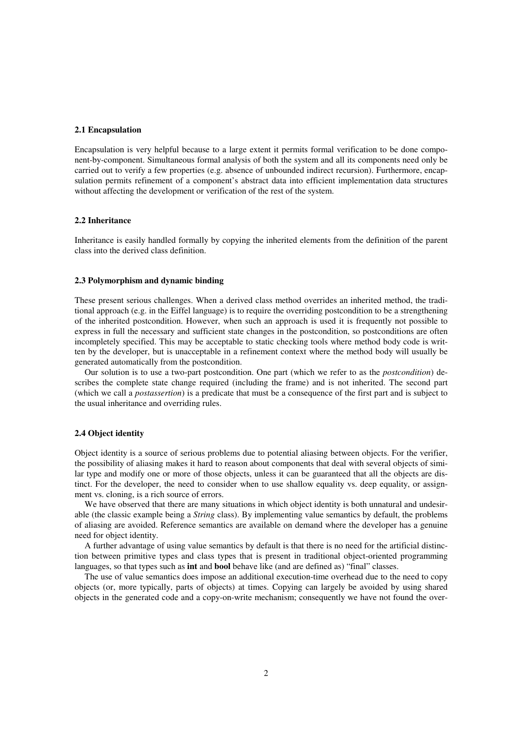### **2.1 Encapsulation**

Encapsulation is very helpful because to a large extent it permits formal verification to be done component-by-component. Simultaneous formal analysis of both the system and all its components need only be carried out to verify a few properties (e.g. absence of unbounded indirect recursion). Furthermore, encapsulation permits refinement of a component's abstract data into efficient implementation data structures without affecting the development or verification of the rest of the system.

### **2.2 Inheritance**

Inheritance is easily handled formally by copying the inherited elements from the definition of the parent class into the derived class definition.

### **2.3 Polymorphism and dynamic binding**

These present serious challenges. When a derived class method overrides an inherited method, the traditional approach (e.g. in the Eiffel language) is to require the overriding postcondition to be a strengthening of the inherited postcondition. However, when such an approach is used it is frequently not possible to express in full the necessary and sufficient state changes in the postcondition, so postconditions are often incompletely specified. This may be acceptable to static checking tools where method body code is written by the developer, but is unacceptable in a refinement context where the method body will usually be generated automatically from the postcondition.

Our solution is to use a two-part postcondition. One part (which we refer to as the *postcondition*) describes the complete state change required (including the frame) and is not inherited. The second part (which we call a *postassertion*) is a predicate that must be a consequence of the first part and is subject to the usual inheritance and overriding rules.

### **2.4 Object identity**

Object identity is a source of serious problems due to potential aliasing between objects. For the verifier, the possibility of aliasing makes it hard to reason about components that deal with several objects of similar type and modify one or more of those objects, unless it can be guaranteed that all the objects are distinct. For the developer, the need to consider when to use shallow equality vs. deep equality, or assignment vs. cloning, is a rich source of errors.

We have observed that there are many situations in which object identity is both unnatural and undesirable (the classic example being a *String* class). By implementing value semantics by default, the problems of aliasing are avoided. Reference semantics are available on demand where the developer has a genuine need for object identity.

A further advantage of using value semantics by default is that there is no need for the artificial distinction between primitive types and class types that is present in traditional object-oriented programming languages, so that types such as **int** and **bool** behave like (and are defined as) "final" classes.

The use of value semantics does impose an additional execution-time overhead due to the need to copy objects (or, more typically, parts of objects) at times. Copying can largely be avoided by using shared objects in the generated code and a copy-on-write mechanism; consequently we have not found the over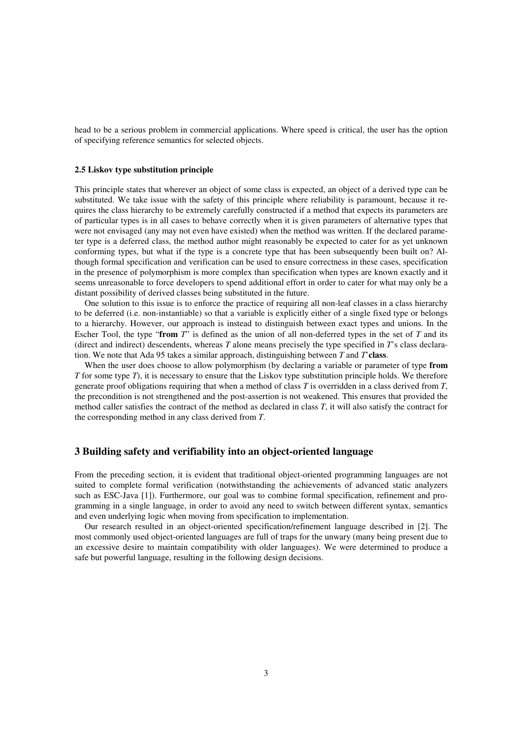head to be a serious problem in commercial applications. Where speed is critical, the user has the option of specifying reference semantics for selected objects.

#### **2.5 Liskov type substitution principle**

This principle states that wherever an object of some class is expected, an object of a derived type can be substituted. We take issue with the safety of this principle where reliability is paramount, because it requires the class hierarchy to be extremely carefully constructed if a method that expects its parameters are of particular types is in all cases to behave correctly when it is given parameters of alternative types that were not envisaged (any may not even have existed) when the method was written. If the declared parameter type is a deferred class, the method author might reasonably be expected to cater for as yet unknown conforming types, but what if the type is a concrete type that has been subsequently been built on? Although formal specification and verification can be used to ensure correctness in these cases, specification in the presence of polymorphism is more complex than specification when types are known exactly and it seems unreasonable to force developers to spend additional effort in order to cater for what may only be a distant possibility of derived classes being substituted in the future.

One solution to this issue is to enforce the practice of requiring all non-leaf classes in a class hierarchy to be deferred (i.e. non-instantiable) so that a variable is explicitly either of a single fixed type or belongs to a hierarchy. However, our approach is instead to distinguish between exact types and unions. In the Escher Tool, the type "**from** *T*" is defined as the union of all non-deferred types in the set of *T* and its (direct and indirect) descendents, whereas *T* alone means precisely the type specified in *T*'s class declaration. We note that Ada 95 takes a similar approach, distinguishing between *T* and *T*'**class**.

When the user does choose to allow polymorphism (by declaring a variable or parameter of type **from** *T* for some type *T*), it is necessary to ensure that the Liskov type substitution principle holds. We therefore generate proof obligations requiring that when a method of class *T* is overridden in a class derived from *T*, the precondition is not strengthened and the post-assertion is not weakened. This ensures that provided the method caller satisfies the contract of the method as declared in class *T*, it will also satisfy the contract for the corresponding method in any class derived from *T*.

# **3 Building safety and verifiability into an object-oriented language**

From the preceding section, it is evident that traditional object-oriented programming languages are not suited to complete formal verification (notwithstanding the achievements of advanced static analyzers such as ESC-Java [1]). Furthermore, our goal was to combine formal specification, refinement and programming in a single language, in order to avoid any need to switch between different syntax, semantics and even underlying logic when moving from specification to implementation.

Our research resulted in an object-oriented specification/refinement language described in [2]. The most commonly used object-oriented languages are full of traps for the unwary (many being present due to an excessive desire to maintain compatibility with older languages). We were determined to produce a safe but powerful language, resulting in the following design decisions.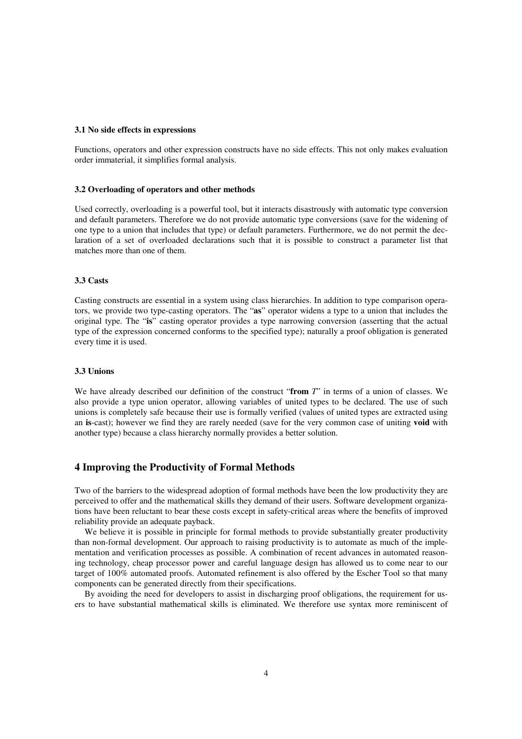#### **3.1 No side effects in expressions**

Functions, operators and other expression constructs have no side effects. This not only makes evaluation order immaterial, it simplifies formal analysis.

### **3.2 Overloading of operators and other methods**

Used correctly, overloading is a powerful tool, but it interacts disastrously with automatic type conversion and default parameters. Therefore we do not provide automatic type conversions (save for the widening of one type to a union that includes that type) or default parameters. Furthermore, we do not permit the declaration of a set of overloaded declarations such that it is possible to construct a parameter list that matches more than one of them.

#### **3.3 Casts**

Casting constructs are essential in a system using class hierarchies. In addition to type comparison operators, we provide two type-casting operators. The "**as**" operator widens a type to a union that includes the original type. The "**is**" casting operator provides a type narrowing conversion (asserting that the actual type of the expression concerned conforms to the specified type); naturally a proof obligation is generated every time it is used.

#### **3.3 Unions**

We have already described our definition of the construct "**from** *T*" in terms of a union of classes. We also provide a type union operator, allowing variables of united types to be declared. The use of such unions is completely safe because their use is formally verified (values of united types are extracted using an **is**-cast); however we find they are rarely needed (save for the very common case of uniting **void** with another type) because a class hierarchy normally provides a better solution.

### **4 Improving the Productivity of Formal Methods**

Two of the barriers to the widespread adoption of formal methods have been the low productivity they are perceived to offer and the mathematical skills they demand of their users. Software development organizations have been reluctant to bear these costs except in safety-critical areas where the benefits of improved reliability provide an adequate payback.

We believe it is possible in principle for formal methods to provide substantially greater productivity than non-formal development. Our approach to raising productivity is to automate as much of the implementation and verification processes as possible. A combination of recent advances in automated reasoning technology, cheap processor power and careful language design has allowed us to come near to our target of 100% automated proofs. Automated refinement is also offered by the Escher Tool so that many components can be generated directly from their specifications.

By avoiding the need for developers to assist in discharging proof obligations, the requirement for users to have substantial mathematical skills is eliminated. We therefore use syntax more reminiscent of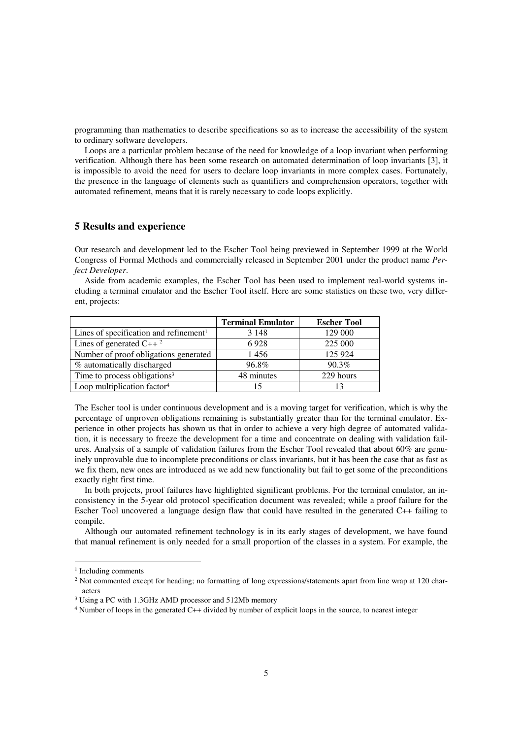programming than mathematics to describe specifications so as to increase the accessibility of the system to ordinary software developers.

Loops are a particular problem because of the need for knowledge of a loop invariant when performing verification. Although there has been some research on automated determination of loop invariants [3], it is impossible to avoid the need for users to declare loop invariants in more complex cases. Fortunately, the presence in the language of elements such as quantifiers and comprehension operators, together with automated refinement, means that it is rarely necessary to code loops explicitly.

# **5 Results and experience**

Loop multiplication factor

Our research and development led to the Escher Tool being previewed in September 1999 at the World Congress of Formal Methods and commercially released in September 2001 under the product name *Perfect Developer*.

| $V = V$                                            |                          |                    |
|----------------------------------------------------|--------------------------|--------------------|
|                                                    | <b>Terminal Emulator</b> | <b>Escher Tool</b> |
| Lines of specification and refinement <sup>1</sup> | 3 1 4 8                  | 129 000            |
| Lines of generated $C++^2$                         | 6928                     | 225 000            |
| Number of proof obligations generated              | 1456                     | 125 924            |
| % automatically discharged                         | 96.8%                    | $90.3\%$           |
| Time to process obligations <sup>3</sup>           | 48 minutes               | 229 hours          |

Aside from academic examples, the Escher Tool has been used to implement real-world systems including a terminal emulator and the Escher Tool itself. Here are some statistics on these two, very different, projects:

The Escher tool is under continuous development and is a moving target for verification, which is why the percentage of unproven obligations remaining is substantially greater than for the terminal emulator. Experience in other projects has shown us that in order to achieve a very high degree of automated validation, it is necessary to freeze the development for a time and concentrate on dealing with validation failures. Analysis of a sample of validation failures from the Escher Tool revealed that about 60% are genuinely unprovable due to incomplete preconditions or class invariants, but it has been the case that as fast as we fix them, new ones are introduced as we add new functionality but fail to get some of the preconditions exactly right first time.

4 15 13

In both projects, proof failures have highlighted significant problems. For the terminal emulator, an inconsistency in the 5-year old protocol specification document was revealed; while a proof failure for the Escher Tool uncovered a language design flaw that could have resulted in the generated C++ failing to compile.

Although our automated refinement technology is in its early stages of development, we have found that manual refinement is only needed for a small proportion of the classes in a system. For example, the

<sup>&</sup>lt;sup>1</sup> Including comments

<sup>&</sup>lt;sup>2</sup> Not commented except for heading; no formatting of long expressions/statements apart from line wrap at 120 characters

<sup>3</sup> Using a PC with 1.3GHz AMD processor and 512Mb memory

<sup>4</sup> Number of loops in the generated C++ divided by number of explicit loops in the source, to nearest integer